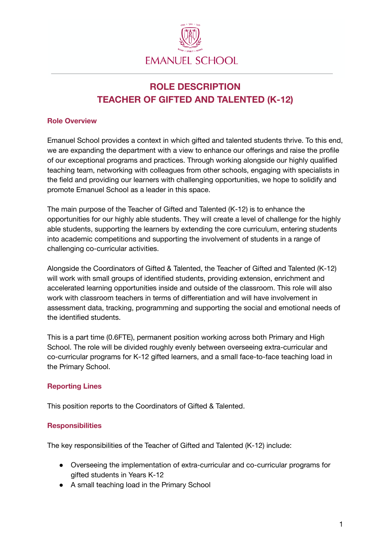

# **ROLE DESCRIPTION TEACHER OF GIFTED AND TALENTED (K-12)**

## **Role Overview**

Emanuel School provides a context in which gifted and talented students thrive. To this end, we are expanding the department with a view to enhance our offerings and raise the profile of our exceptional programs and practices. Through working alongside our highly qualified teaching team, networking with colleagues from other schools, engaging with specialists in the field and providing our learners with challenging opportunities, we hope to solidify and promote Emanuel School as a leader in this space.

The main purpose of the Teacher of Gifted and Talented (K-12) is to enhance the opportunities for our highly able students. They will create a level of challenge for the highly able students, supporting the learners by extending the core curriculum, entering students into academic competitions and supporting the involvement of students in a range of challenging co-curricular activities.

Alongside the Coordinators of Gifted & Talented, the Teacher of Gifted and Talented (K-12) will work with small groups of identified students, providing extension, enrichment and accelerated learning opportunities inside and outside of the classroom. This role will also work with classroom teachers in terms of differentiation and will have involvement in assessment data, tracking, programming and supporting the social and emotional needs of the identified students.

This is a part time (0.6FTE), permanent position working across both Primary and High School. The role will be divided roughly evenly between overseeing extra-curricular and co-curricular programs for K-12 gifted learners, and a small face-to-face teaching load in the Primary School.

## **Reporting Lines**

This position reports to the Coordinators of Gifted & Talented.

## **Responsibilities**

The key responsibilities of the Teacher of Gifted and Talented (K-12) include:

- Overseeing the implementation of extra-curricular and co-curricular programs for gifted students in Years K-12
- A small teaching load in the Primary School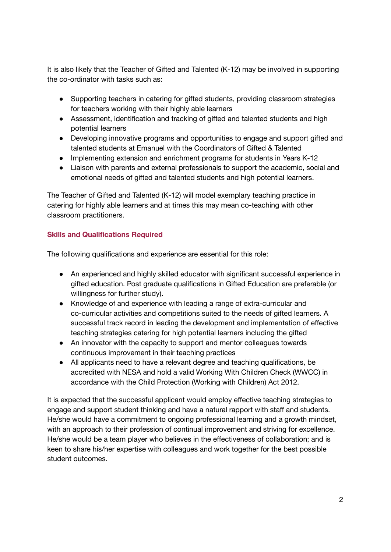It is also likely that the Teacher of Gifted and Talented (K-12) may be involved in supporting the co-ordinator with tasks such as:

- Supporting teachers in catering for gifted students, providing classroom strategies for teachers working with their highly able learners
- Assessment, identification and tracking of gifted and talented students and high potential learners
- Developing innovative programs and opportunities to engage and support gifted and talented students at Emanuel with the Coordinators of Gifted & Talented
- Implementing extension and enrichment programs for students in Years K-12
- Liaison with parents and external professionals to support the academic, social and emotional needs of gifted and talented students and high potential learners.

The Teacher of Gifted and Talented (K-12) will model exemplary teaching practice in catering for highly able learners and at times this may mean co-teaching with other classroom practitioners.

## **Skills and Qualifications Required**

The following qualifications and experience are essential for this role:

- An experienced and highly skilled educator with significant successful experience in gifted education. Post graduate qualifications in Gifted Education are preferable (or willingness for further study).
- Knowledge of and experience with leading a range of extra-curricular and co-curricular activities and competitions suited to the needs of gifted learners. A successful track record in leading the development and implementation of effective teaching strategies catering for high potential learners including the gifted
- An innovator with the capacity to support and mentor colleagues towards continuous improvement in their teaching practices
- All applicants need to have a relevant degree and teaching qualifications, be accredited with NESA and hold a valid Working With Children Check (WWCC) in accordance with the Child Protection (Working with Children) Act 2012.

It is expected that the successful applicant would employ effective teaching strategies to engage and support student thinking and have a natural rapport with staff and students. He/she would have a commitment to ongoing professional learning and a growth mindset, with an approach to their profession of continual improvement and striving for excellence. He/she would be a team player who believes in the effectiveness of collaboration; and is keen to share his/her expertise with colleagues and work together for the best possible student outcomes.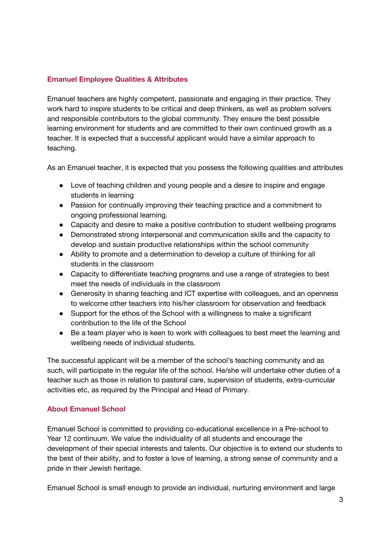## **Emanuel Employee Qualities & Attributes**

Emanuel teachers are highly competent, passionate and engaging in their practice. They work hard to inspire students to be critical and deep thinkers, as well as problem solvers and responsible contributors to the global community. They ensure the best possible learning environment for students and are committed to their own continued growth as a teacher. It is expected that a successful applicant would have a similar approach to teaching.

As an Emanuel teacher, it is expected that you possess the following qualities and attributes

- Love of teaching children and young people and a desire to inspire and engage students in learning
- Passion for continually improving their teaching practice and a commitment to ongoing professional learning.
- Capacity and desire to make a positive contribution to student wellbeing programs
- Demonstrated strong interpersonal and communication skills and the capacity to develop and sustain productive relationships within the school community
- Ability to promote and a determination to develop a culture of thinking for all students in the classroom
- Capacity to differentiate teaching programs and use a range of strategies to best meet the needs of individuals in the classroom
- Generosity in sharing teaching and ICT expertise with colleagues, and an openness to welcome other teachers into his/her classroom for observation and feedback
- Support for the ethos of the School with a willingness to make a significant contribution to the life of the School
- Be a team player who is keen to work with colleagues to best meet the learning and wellbeing needs of individual students.

The successful applicant will be a member of the school's teaching community and as such, will participate in the regular life of the school. He/she will undertake other duties of a teacher such as those in relation to pastoral care, supervision of students, extra-curricular activities etc, as required by the Principal and Head of Primary.

## **About Emanuel School**

Emanuel School is committed to providing co-educational excellence in a Pre-school to Year 12 continuum. We value the individuality of all students and encourage the development of their special interests and talents. Our objective is to extend our students to the best of their ability, and to foster a love of learning, a strong sense of community and a pride in their Jewish heritage.

Emanuel School is small enough to provide an individual, nurturing environment and large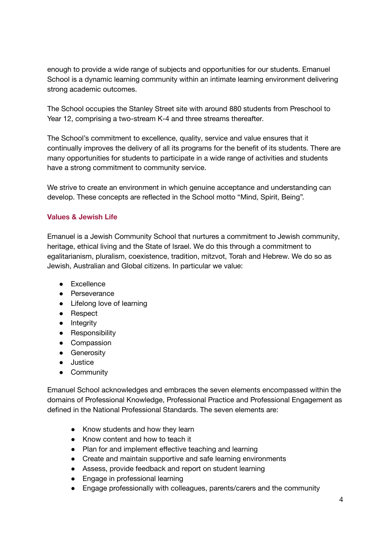enough to provide a wide range of subjects and opportunities for our students. Emanuel School is a dynamic learning community within an intimate learning environment delivering strong academic outcomes.

The School occupies the Stanley Street site with around 880 students from Preschool to Year 12, comprising a two-stream K-4 and three streams thereafter.

The School's commitment to excellence, quality, service and value ensures that it continually improves the delivery of all its programs for the benefit of its students. There are many opportunities for students to participate in a wide range of activities and students have a strong commitment to community service.

We strive to create an environment in which genuine acceptance and understanding can develop. These concepts are reflected in the School motto "Mind, Spirit, Being".

#### **Values & Jewish Life**

Emanuel is a Jewish Community School that nurtures a commitment to Jewish community, heritage, ethical living and the State of Israel. We do this through a commitment to egalitarianism, pluralism, coexistence, tradition, mitzvot, Torah and Hebrew. We do so as Jewish, Australian and Global citizens. In particular we value:

- Excellence
- Perseverance
- Lifelong love of learning
- Respect
- Integrity
- Responsibility
- Compassion
- **•** Generosity
- Justice
- Community

Emanuel School acknowledges and embraces the seven elements encompassed within the domains of Professional Knowledge, Professional Practice and Professional Engagement as defined in the National Professional Standards. The seven elements are:

- Know students and how they learn
- Know content and how to teach it
- Plan for and implement effective teaching and learning
- Create and maintain supportive and safe learning environments
- Assess, provide feedback and report on student learning
- Engage in professional learning
- Engage professionally with colleagues, parents/carers and the community